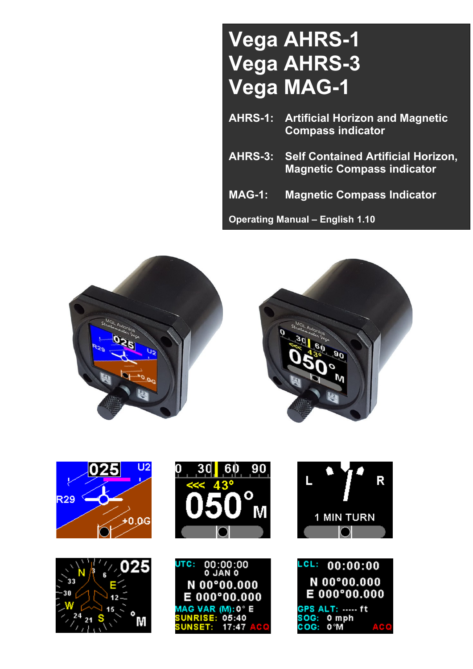# **Vega AHRS-1 Vega AHRS-3 Vega MAG-1**

- **AHRS-1: Artificial Horizon and Magnetic Compass indicator**
- **AHRS-3: Self Contained Artificial Horizon, Magnetic Compass indicator**
- **MAG-1: Magnetic Compass Indicator**

**Operating Manual – English 1.10**



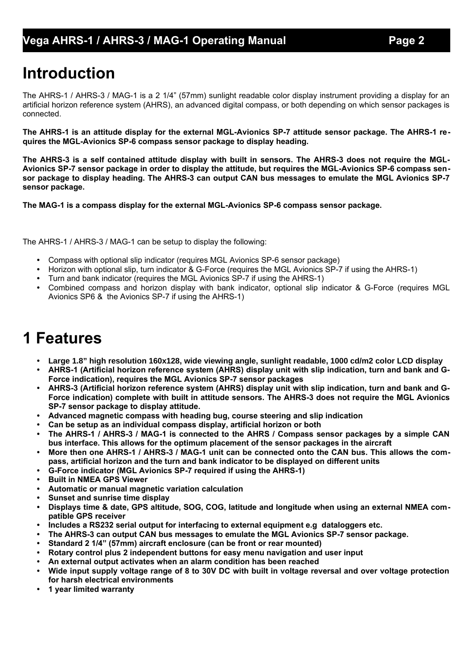# **Introduction**

The AHRS-1 / AHRS-3 / MAG-1 is a 2 1/4" (57mm) sunlight readable color display instrument providing a display for an artificial horizon reference system (AHRS), an advanced digital compass, or both depending on which sensor packages is connected.

**The AHRS-1 is an attitude display for the external MGL-Avionics SP-7 attitude sensor package. The AHRS-1 requires the MGL-Avionics SP-6 compass sensor package to display heading.**

**The AHRS-3 is a self contained attitude display with built in sensors. The AHRS-3 does not require the MGL-Avionics SP-7 sensor package in order to display the attitude, but requires the MGL-Avionics SP-6 compass sensor package to display heading. The AHRS-3 can output CAN bus messages to emulate the MGL Avionics SP-7 sensor package.**

**The MAG-1 is a compass display for the external MGL-Avionics SP-6 compass sensor package.**

The AHRS-1 / AHRS-3 / MAG-1 can be setup to display the following:

- **•** Compass with optional slip indicator (requires MGL Avionics SP-6 sensor package)
- **•** Horizon with optional slip, turn indicator & G-Force (requires the MGL Avionics SP-7 if using the AHRS-1)
- **•** Turn and bank indicator (requires the MGL Avionics SP-7 if using the AHRS-1)
- **•** Combined compass and horizon display with bank indicator, optional slip indicator & G-Force (requires MGL Avionics SP6 & the Avionics SP-7 if using the AHRS-1)

# **1 Features**

- **• Large 1.8" high resolution 160x128, wide viewing angle, sunlight readable, 1000 cd/m2 color LCD display**
- **• AHRS-1 (Artificial horizon reference system (AHRS) display unit with slip indication, turn and bank and G-Force indication), requires the MGL Avionics SP-7 sensor packages**
- **• AHRS-3 (Artificial horizon reference system (AHRS) display unit with slip indication, turn and bank and G-Force indication) complete with built in attitude sensors. The AHRS-3 does not require the MGL Avionics SP-7 sensor package to display attitude.**
- **• Advanced magnetic compass with heading bug, course steering and slip indication**
- **• Can be setup as an individual compass display, artificial horizon or both**
- **• The AHRS-1 / AHRS-3 / MAG-1 is connected to the AHRS / Compass sensor packages by a simple CAN bus interface. This allows for the optimum placement of the sensor packages in the aircraft**
- **• More then one AHRS-1 / AHRS-3 / MAG-1 unit can be connected onto the CAN bus. This allows the compass, artificial horizon and the turn and bank indicator to be displayed on different units**
- **• G-Force indicator (MGL Avionics SP-7 required if using the AHRS-1)**
- **• Built in NMEA GPS Viewer**
- **• Automatic or manual magnetic variation calculation**
- **• Sunset and sunrise time display**
- **• Displays time & date, GPS altitude, SOG, COG, latitude and longitude when using an external NMEA compatible GPS receiver**
- **• Includes a RS232 serial output for interfacing to external equipment e.g dataloggers etc.**
- **• The AHRS-3 can output CAN bus messages to emulate the MGL Avionics SP-7 sensor package.**
- **• Standard 2 1/4" (57mm) aircraft enclosure (can be front or rear mounted)**
- **• Rotary control plus 2 independent buttons for easy menu navigation and user input**
- **• An external output activates when an alarm condition has been reached**
- **• Wide input supply voltage range of 8 to 30V DC with built in voltage reversal and over voltage protection for harsh electrical environments**
- **• 1 year limited warranty**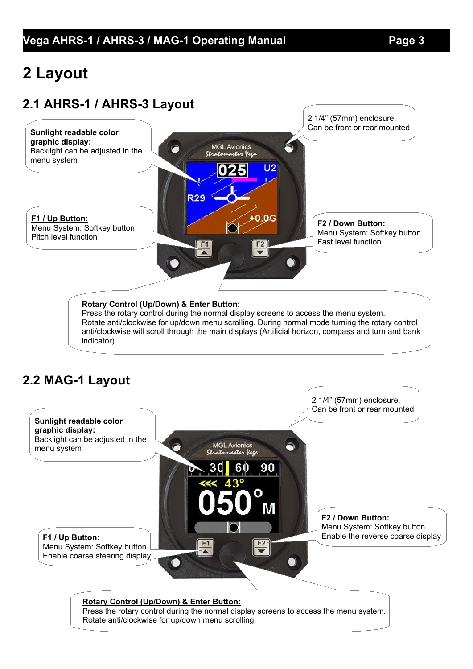# **2 Layout**

# **2.1 AHRS-1 / AHRS-3 Layout**



#### **Rotary Control (Up/Down) & Enter Button:**

Press the rotary control during the normal display screens to access the menu system. Rotate anti/clockwise for up/down menu scrolling. During normal mode turning the rotary control anti/clockwise will scroll through the main displays (Artificial horizon, compass and turn and bank indicator).

# **2.2 MAG-1 Layout**

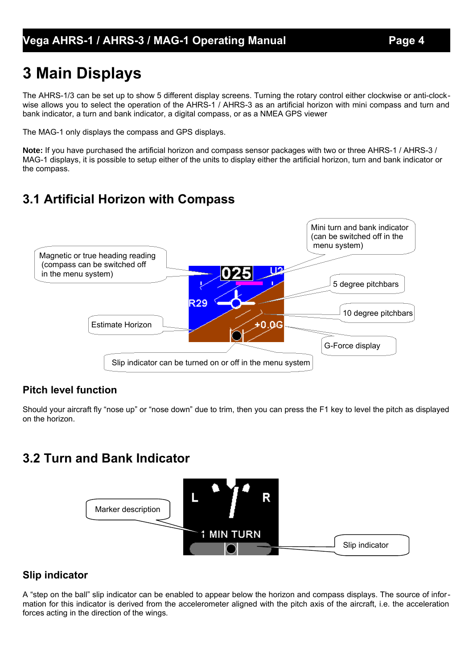# **3 Main Displays**

The AHRS-1/3 can be set up to show 5 different display screens. Turning the rotary control either clockwise or anti-clockwise allows you to select the operation of the AHRS-1 / AHRS-3 as an artificial horizon with mini compass and turn and bank indicator, a turn and bank indicator, a digital compass, or as a NMEA GPS viewer

The MAG-1 only displays the compass and GPS displays.

**Note:** If you have purchased the artificial horizon and compass sensor packages with two or three AHRS-1 / AHRS-3 / MAG-1 displays, it is possible to setup either of the units to display either the artificial horizon, turn and bank indicator or the compass.

# **3.1 Artificial Horizon with Compass**



### **Pitch level function**

Should your aircraft fly "nose up" or "nose down" due to trim, then you can press the F1 key to level the pitch as displayed on the horizon.

# **3.2 Turn and Bank Indicator**



### **Slip indicator**

A "step on the ball" slip indicator can be enabled to appear below the horizon and compass displays. The source of information for this indicator is derived from the accelerometer aligned with the pitch axis of the aircraft, i.e. the acceleration forces acting in the direction of the wings.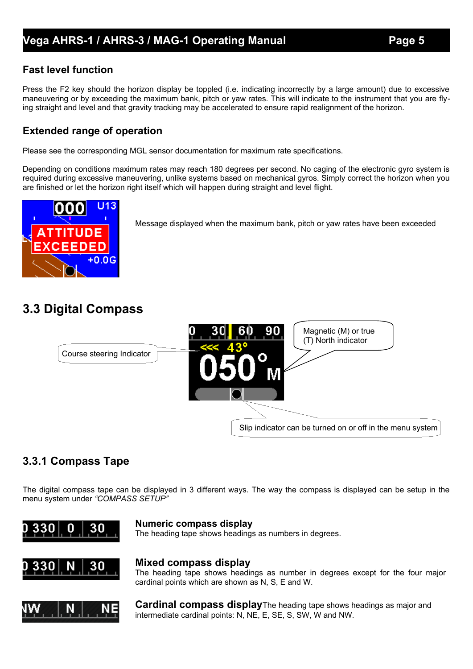### **Fast level function**

Press the F2 key should the horizon display be toppled (i.e. indicating incorrectly by a large amount) due to excessive maneuvering or by exceeding the maximum bank, pitch or yaw rates. This will indicate to the instrument that you are flying straight and level and that gravity tracking may be accelerated to ensure rapid realignment of the horizon.

### **Extended range of operation**

Please see the corresponding MGL sensor documentation for maximum rate specifications.

Depending on conditions maximum rates may reach 180 degrees per second. No caging of the electronic gyro system is required during excessive maneuvering, unlike systems based on mechanical gyros. Simply correct the horizon when you are finished or let the horizon right itself which will happen during straight and level flight.



Message displayed when the maximum bank, pitch or yaw rates have been exceeded

# **3.3 Digital Compass**



### **3.3.1 Compass Tape**

The digital compass tape can be displayed in 3 different ways. The way the compass is displayed can be setup in the menu system under *"COMPASS SETUP"*



#### **Numeric compass display**

The heading tape shows headings as numbers in degrees.



#### **Mixed compass display**

The heading tape shows headings as number in degrees except for the four major cardinal points which are shown as N, S, E and W.



**Cardinal compass display**The heading tape shows headings as major and intermediate cardinal points: N, NE, E, SE, S, SW, W and NW.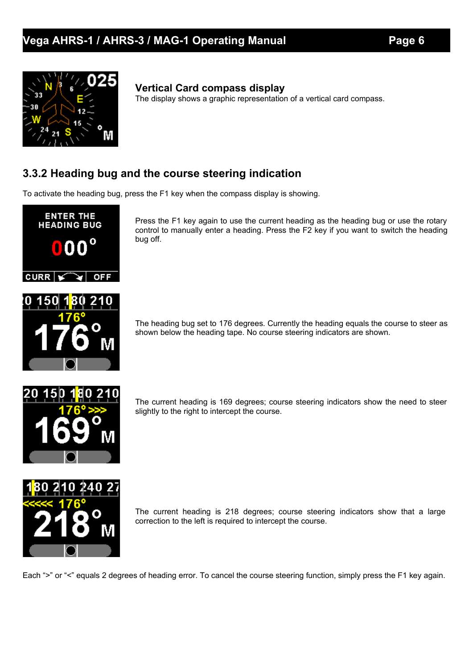

### **Vertical Card compass display**

The display shows a graphic representation of a vertical card compass.

### **3.3.2 Heading bug and the course steering indication**

To activate the heading bug, press the F1 key when the compass display is showing.



Press the F1 key again to use the current heading as the heading bug or use the rotary control to manually enter a heading. Press the F2 key if you want to switch the heading bug off.

The heading bug set to 176 degrees. Currently the heading equals the course to steer as shown below the heading tape. No course steering indicators are shown.



The current heading is 169 degrees; course steering indicators show the need to steer slightly to the right to intercept the course.



The current heading is 218 degrees; course steering indicators show that a large correction to the left is required to intercept the course.

Each ">" or "<" equals 2 degrees of heading error. To cancel the course steering function, simply press the F1 key again.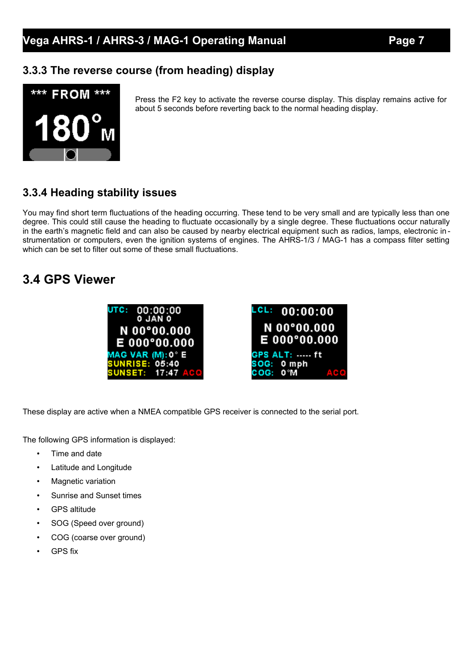### **3.3.3 The reverse course (from heading) display**



Press the F2 key to activate the reverse course display. This display remains active for about 5 seconds before reverting back to the normal heading display.

### **3.3.4 Heading stability issues**

You may find short term fluctuations of the heading occurring. These tend to be very small and are typically less than one degree. This could still cause the heading to fluctuate occasionally by a single degree. These fluctuations occur naturally in the earth's magnetic field and can also be caused by nearby electrical equipment such as radios, lamps, electronic instrumentation or computers, even the ignition systems of engines. The AHRS-1/3 / MAG-1 has a compass filter setting which can be set to filter out some of these small fluctuations.

### **3.4 GPS Viewer**



These display are active when a NMEA compatible GPS receiver is connected to the serial port.

The following GPS information is displayed:

- Time and date
- Latitude and Longitude
- **Magnetic variation**
- Sunrise and Sunset times
- GPS altitude
- SOG (Speed over ground)
- COG (coarse over ground)
- **GPS** fix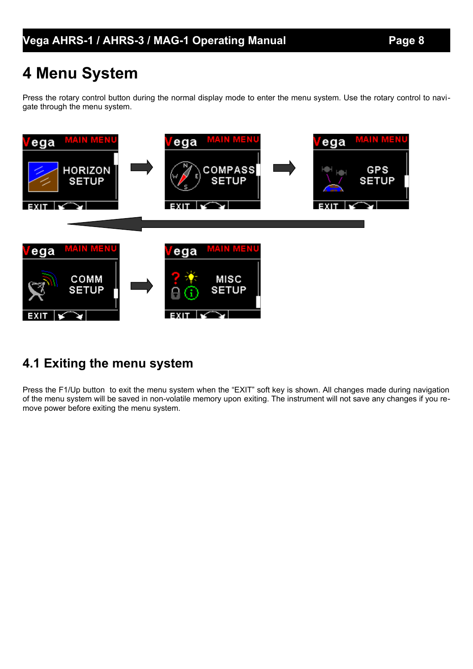# **4 Menu System**

Press the rotary control button during the normal display mode to enter the menu system. Use the rotary control to navigate through the menu system.



# **4.1 Exiting the menu system**

Press the F1/Up button to exit the menu system when the "EXIT" soft key is shown. All changes made during navigation of the menu system will be saved in non-volatile memory upon exiting. The instrument will not save any changes if you remove power before exiting the menu system.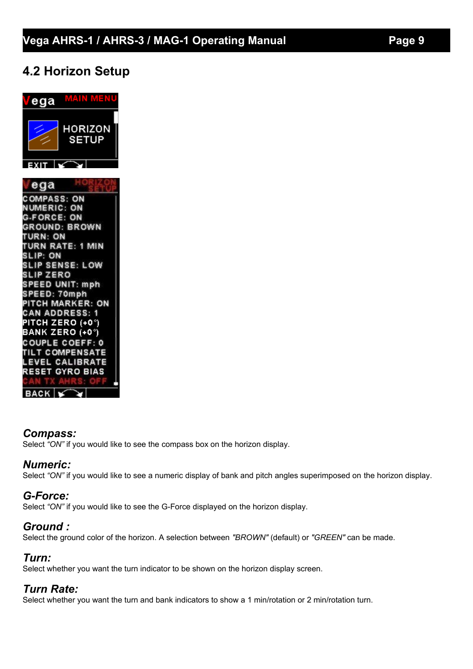## **4.2 Horizon Setup**



#### *Compass:*

Select *"ON"* if you would like to see the compass box on the horizon display.

#### *Numeric:*

Select "ON" if you would like to see a numeric display of bank and pitch angles superimposed on the horizon display.

### *G-Force:*

Select *"ON"* if you would like to see the G-Force displayed on the horizon display.

#### *Ground :*

Select the ground color of the horizon. A selection between *"BROWN"* (default) or *"GREEN"* can be made.

#### *Turn:*

Select whether you want the turn indicator to be shown on the horizon display screen.

#### *Turn Rate:*

Select whether you want the turn and bank indicators to show a 1 min/rotation or 2 min/rotation turn.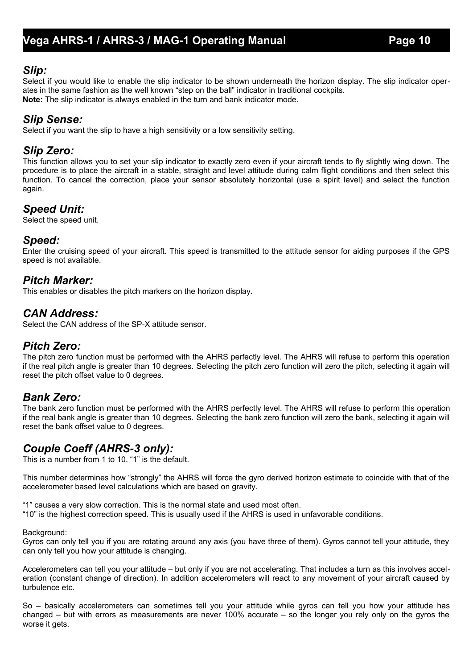#### *Slip:*

Select if you would like to enable the slip indicator to be shown underneath the horizon display. The slip indicator operates in the same fashion as the well known "step on the ball" indicator in traditional cockpits. **Note:** The slip indicator is always enabled in the turn and bank indicator mode.

#### *Slip Sense:*

Select if you want the slip to have a high sensitivity or a low sensitivity setting.

#### *Slip Zero:*

This function allows you to set your slip indicator to exactly zero even if your aircraft tends to fly slightly wing down. The procedure is to place the aircraft in a stable, straight and level attitude during calm flight conditions and then select this function. To cancel the correction, place your sensor absolutely horizontal (use a spirit level) and select the function again.

#### *Speed Unit:*

Select the speed unit.

#### *Speed:*

Enter the cruising speed of your aircraft. This speed is transmitted to the attitude sensor for aiding purposes if the GPS speed is not available.

#### *Pitch Marker:*

This enables or disables the pitch markers on the horizon display.

#### *CAN Address:*

Select the CAN address of the SP-X attitude sensor.

#### *Pitch Zero:*

The pitch zero function must be performed with the AHRS perfectly level. The AHRS will refuse to perform this operation if the real pitch angle is greater than 10 degrees. Selecting the pitch zero function will zero the pitch, selecting it again will reset the pitch offset value to 0 degrees.

#### *Bank Zero:*

The bank zero function must be performed with the AHRS perfectly level. The AHRS will refuse to perform this operation if the real bank angle is greater than 10 degrees. Selecting the bank zero function will zero the bank, selecting it again will reset the bank offset value to 0 degrees.

### *Couple Coeff (AHRS-3 only):*

This is a number from 1 to 10. "1" is the default.

This number determines how "strongly" the AHRS will force the gyro derived horizon estimate to coincide with that of the accelerometer based level calculations which are based on gravity.

"1" causes a very slow correction. This is the normal state and used most often.

"10" is the highest correction speed. This is usually used if the AHRS is used in unfavorable conditions.

#### Background:

Gyros can only tell you if you are rotating around any axis (you have three of them). Gyros cannot tell your attitude, they can only tell you how your attitude is changing.

Accelerometers can tell you your attitude – but only if you are not accelerating. That includes a turn as this involves acceleration (constant change of direction). In addition accelerometers will react to any movement of your aircraft caused by turbulence etc.

So – basically accelerometers can sometimes tell you your attitude while gyros can tell you how your attitude has changed – but with errors as measurements are never 100% accurate – so the longer you rely only on the gyros the worse it gets.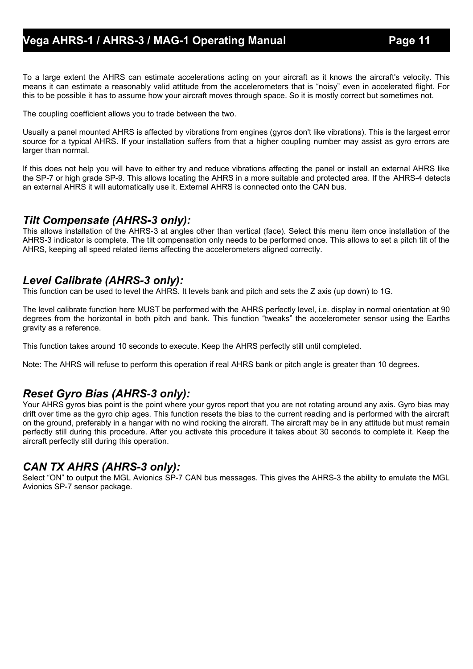To a large extent the AHRS can estimate accelerations acting on your aircraft as it knows the aircraft's velocity. This means it can estimate a reasonably valid attitude from the accelerometers that is "noisy" even in accelerated flight. For this to be possible it has to assume how your aircraft moves through space. So it is mostly correct but sometimes not.

The coupling coefficient allows you to trade between the two.

Usually a panel mounted AHRS is affected by vibrations from engines (gyros don't like vibrations). This is the largest error source for a typical AHRS. If your installation suffers from that a higher coupling number may assist as gyro errors are larger than normal.

If this does not help you will have to either try and reduce vibrations affecting the panel or install an external AHRS like the SP-7 or high grade SP-9. This allows locating the AHRS in a more suitable and protected area. If the AHRS-4 detects an external AHRS it will automatically use it. External AHRS is connected onto the CAN bus.

#### *Tilt Compensate (AHRS-3 only):*

This allows installation of the AHRS-3 at angles other than vertical (face). Select this menu item once installation of the AHRS-3 indicator is complete. The tilt compensation only needs to be performed once. This allows to set a pitch tilt of the AHRS, keeping all speed related items affecting the accelerometers aligned correctly.

#### *Level Calibrate (AHRS-3 only):*

This function can be used to level the AHRS. It levels bank and pitch and sets the Z axis (up down) to 1G.

The level calibrate function here MUST be performed with the AHRS perfectly level, i.e. display in normal orientation at 90 degrees from the horizontal in both pitch and bank. This function "tweaks" the accelerometer sensor using the Earths gravity as a reference.

This function takes around 10 seconds to execute. Keep the AHRS perfectly still until completed.

Note: The AHRS will refuse to perform this operation if real AHRS bank or pitch angle is greater than 10 degrees.

### *Reset Gyro Bias (AHRS-3 only):*

Your AHRS gyros bias point is the point where your gyros report that you are not rotating around any axis. Gyro bias may drift over time as the gyro chip ages. This function resets the bias to the current reading and is performed with the aircraft on the ground, preferably in a hangar with no wind rocking the aircraft. The aircraft may be in any attitude but must remain perfectly still during this procedure. After you activate this procedure it takes about 30 seconds to complete it. Keep the aircraft perfectly still during this operation.

#### *CAN TX AHRS (AHRS-3 only):*

Select "ON" to output the MGL Avionics SP-7 CAN bus messages. This gives the AHRS-3 the ability to emulate the MGL Avionics SP-7 sensor package.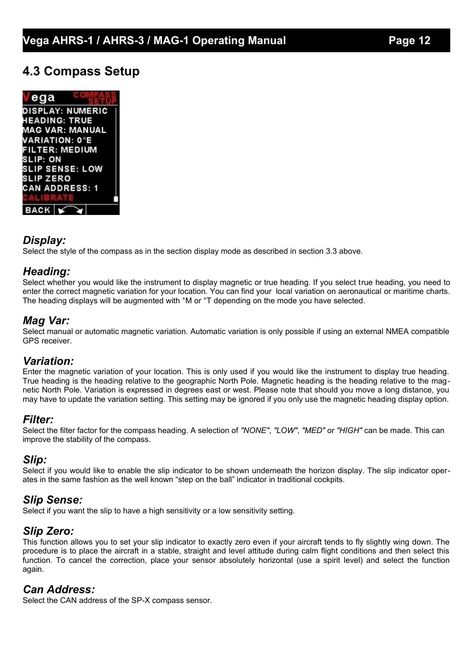### **4.3 Compass Setup**

ega **DISPLAY: NUMERIC IEADING: TRUE MAG VAR: MANUAL VARIATION: 0°E FILTER: MEDIUM SLIP: ON SLIP SENSE: LOW SLIP ZERO CAN ADDRESS: 1 BACK** 

#### *Display:*

Select the style of the compass as in the section display mode as described in section 3.3 above.

#### *Heading:*

Select whether you would like the instrument to display magnetic or true heading. If you select true heading, you need to enter the correct magnetic variation for your location. You can find your local variation on aeronautical or maritime charts. The heading displays will be augmented with °M or °T depending on the mode you have selected.

#### *Mag Var:*

Select manual or automatic magnetic variation. Automatic variation is only possible if using an external NMEA compatible GPS receiver.

#### *Variation:*

Enter the magnetic variation of your location. This is only used if you would like the instrument to display true heading. True heading is the heading relative to the geographic North Pole. Magnetic heading is the heading relative to the magnetic North Pole. Variation is expressed in degrees east or west. Please note that should you move a long distance, you may have to update the variation setting. This setting may be ignored if you only use the magnetic heading display option.

#### *Filter:*

Select the filter factor for the compass heading. A selection of *"NONE"*, *"LOW"*, *"MED"* or *"HIGH"* can be made. This can improve the stability of the compass.

#### *Slip:*

Select if you would like to enable the slip indicator to be shown underneath the horizon display. The slip indicator operates in the same fashion as the well known "step on the ball" indicator in traditional cockpits.

#### *Slip Sense:*

Select if you want the slip to have a high sensitivity or a low sensitivity setting.

#### *Slip Zero:*

This function allows you to set your slip indicator to exactly zero even if your aircraft tends to fly slightly wing down. The procedure is to place the aircraft in a stable, straight and level attitude during calm flight conditions and then select this function. To cancel the correction, place your sensor absolutely horizontal (use a spirit level) and select the function again.

#### *Can Address:*

Select the CAN address of the SP-X compass sensor.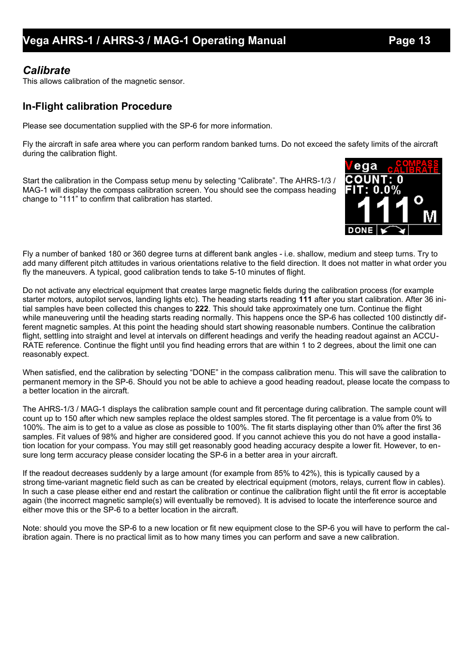#### *Calibrate*

This allows calibration of the magnetic sensor.

#### **In-Flight calibration Procedure**

Please see documentation supplied with the SP-6 for more information.

Fly the aircraft in safe area where you can perform random banked turns. Do not exceed the safety limits of the aircraft during the calibration flight.

Start the calibration in the Compass setup menu by selecting "Calibrate". The AHRS-1/3 / MAG-1 will display the compass calibration screen. You should see the compass heading change to "111" to confirm that calibration has started.



Fly a number of banked 180 or 360 degree turns at different bank angles - i.e. shallow, medium and steep turns. Try to add many different pitch attitudes in various orientations relative to the field direction. It does not matter in what order you fly the maneuvers. A typical, good calibration tends to take 5-10 minutes of flight.

Do not activate any electrical equipment that creates large magnetic fields during the calibration process (for example starter motors, autopilot servos, landing lights etc). The heading starts reading **111** after you start calibration. After 36 initial samples have been collected this changes to **222**. This should take approximately one turn. Continue the flight while maneuvering until the heading starts reading normally. This happens once the SP-6 has collected 100 distinctly different magnetic samples. At this point the heading should start showing reasonable numbers. Continue the calibration flight, settling into straight and level at intervals on different headings and verify the heading readout against an ACCU-RATE reference. Continue the flight until you find heading errors that are within 1 to 2 degrees, about the limit one can reasonably expect.

When satisfied, end the calibration by selecting "DONE" in the compass calibration menu. This will save the calibration to permanent memory in the SP-6. Should you not be able to achieve a good heading readout, please locate the compass to a better location in the aircraft.

The AHRS-1/3 / MAG-1 displays the calibration sample count and fit percentage during calibration. The sample count will count up to 150 after which new samples replace the oldest samples stored. The fit percentage is a value from 0% to 100%. The aim is to get to a value as close as possible to 100%. The fit starts displaying other than 0% after the first 36 samples. Fit values of 98% and higher are considered good. If you cannot achieve this you do not have a good installation location for your compass. You may still get reasonably good heading accuracy despite a lower fit. However, to ensure long term accuracy please consider locating the SP-6 in a better area in your aircraft.

If the readout decreases suddenly by a large amount (for example from 85% to 42%), this is typically caused by a strong time-variant magnetic field such as can be created by electrical equipment (motors, relays, current flow in cables). In such a case please either end and restart the calibration or continue the calibration flight until the fit error is acceptable again (the incorrect magnetic sample(s) will eventually be removed). It is advised to locate the interference source and either move this or the SP-6 to a better location in the aircraft.

Note: should you move the SP-6 to a new location or fit new equipment close to the SP-6 you will have to perform the calibration again. There is no practical limit as to how many times you can perform and save a new calibration.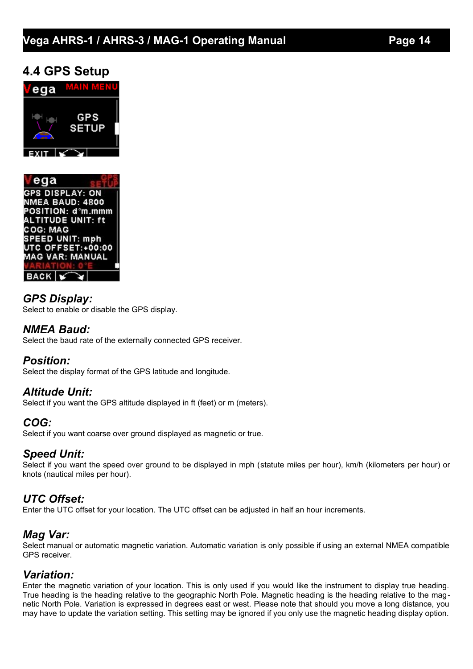### **4.4 GPS Setup**





#### *GPS Display:* Select to enable or disable the GPS display.

#### *NMEA Baud:*

Select the baud rate of the externally connected GPS receiver.

#### *Position:*

Select the display format of the GPS latitude and longitude.

#### *Altitude Unit:*

Select if you want the GPS altitude displayed in ft (feet) or m (meters).

### *COG:*

Select if you want coarse over ground displayed as magnetic or true.

### *Speed Unit:*

Select if you want the speed over ground to be displayed in mph (statute miles per hour), km/h (kilometers per hour) or knots (nautical miles per hour).

### *UTC Offset:*

Enter the UTC offset for your location. The UTC offset can be adjusted in half an hour increments.

### *Mag Var:*

Select manual or automatic magnetic variation. Automatic variation is only possible if using an external NMEA compatible GPS receiver.

#### *Variation:*

Enter the magnetic variation of your location. This is only used if you would like the instrument to display true heading. True heading is the heading relative to the geographic North Pole. Magnetic heading is the heading relative to the magnetic North Pole. Variation is expressed in degrees east or west. Please note that should you move a long distance, you may have to update the variation setting. This setting may be ignored if you only use the magnetic heading display option.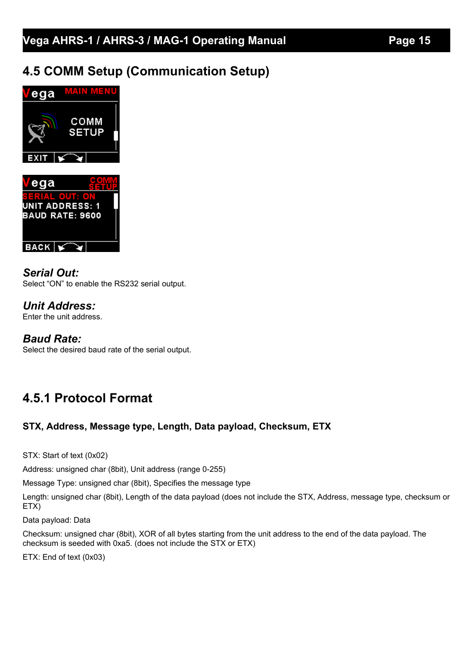# **4.5 COMM Setup (Communication Setup)**



*Serial Out:*

Select "ON" to enable the RS232 serial output.

*Unit Address:* Enter the unit address.

### *Baud Rate:*

**BACK**  $\sqrt{ }$ 

Select the desired baud rate of the serial output.

# **4.5.1 Protocol Format**

### **STX, Address, Message type, Length, Data payload, Checksum, ETX**

STX: Start of text (0x02)

Address: unsigned char (8bit), Unit address (range 0-255)

Message Type: unsigned char (8bit), Specifies the message type

Length: unsigned char (8bit), Length of the data payload (does not include the STX, Address, message type, checksum or ETX)

Data payload: Data

Checksum: unsigned char (8bit), XOR of all bytes starting from the unit address to the end of the data payload. The checksum is seeded with 0xa5. (does not include the STX or ETX)

ETX: End of text (0x03)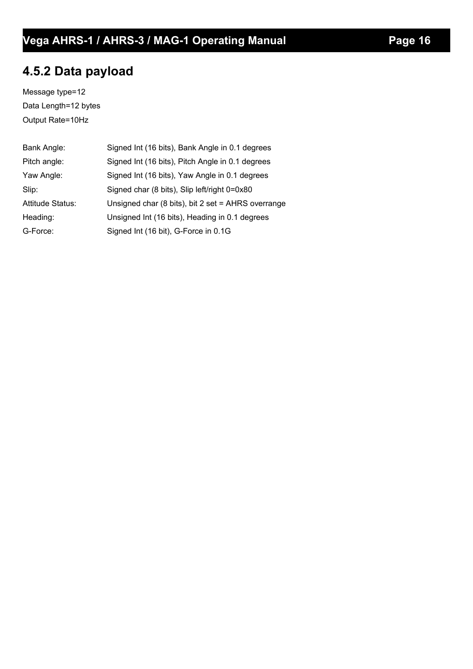# **4.5.2 Data payload**

Message type=12 Data Length=12 bytes Output Rate=10Hz

| Bank Angle:             | Signed Int (16 bits), Bank Angle in 0.1 degrees    |
|-------------------------|----------------------------------------------------|
| Pitch angle:            | Signed Int (16 bits), Pitch Angle in 0.1 degrees   |
| Yaw Angle:              | Signed Int (16 bits), Yaw Angle in 0.1 degrees     |
| Slip:                   | Signed char (8 bits), Slip left/right 0=0x80       |
| <b>Attitude Status:</b> | Unsigned char (8 bits), bit 2 set = AHRS overrange |
| Heading:                | Unsigned Int (16 bits), Heading in 0.1 degrees     |
| G-Force:                | Signed Int (16 bit), G-Force in 0.1G               |
|                         |                                                    |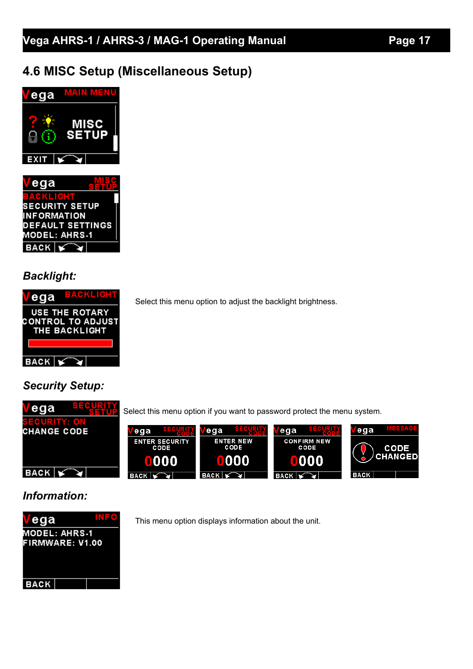# **4.6 MISC Setup (Miscellaneous Setup)**





### *Backlight:*



Select this menu option to adjust the backlight brightness.

### *Security Setup:*



### *Information:*



This menu option displays information about the unit.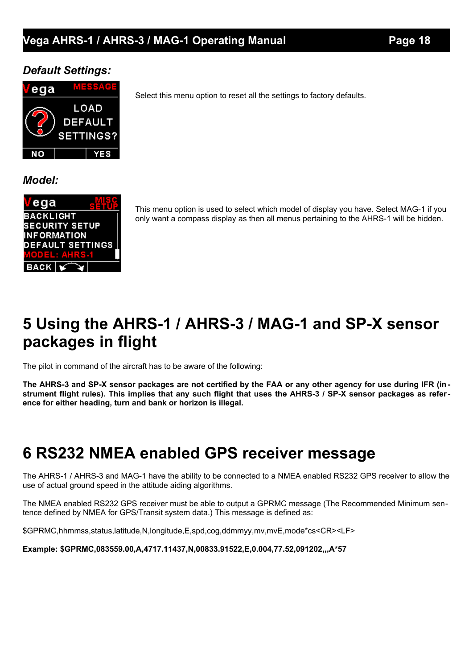#### *Default Settings:*



Select this menu option to reset all the settings to factory defaults.

*Model:*



This menu option is used to select which model of display you have. Select MAG-1 if you only want a compass display as then all menus pertaining to the AHRS-1 will be hidden.

# **5 Using the AHRS-1 / AHRS-3 / MAG-1 and SP-X sensor packages in flight**

The pilot in command of the aircraft has to be aware of the following:

**The AHRS-3 and SP-X sensor packages are not certified by the FAA or any other agency for use during IFR (in strument flight rules). This implies that any such flight that uses the AHRS-3 / SP-X sensor packages as reference for either heading, turn and bank or horizon is illegal.** 

# **6 RS232 NMEA enabled GPS receiver message**

The AHRS-1 / AHRS-3 and MAG-1 have the ability to be connected to a NMEA enabled RS232 GPS receiver to allow the use of actual ground speed in the attitude aiding algorithms.

The NMEA enabled RS232 GPS receiver must be able to output a GPRMC message (The Recommended Minimum sentence defined by NMEA for GPS/Transit system data.) This message is defined as:

\$GPRMC,hhmmss,status,latitude,N,longitude,E,spd,cog,ddmmyy,mv,mvE,mode\*cs<CR><LF>

**Example: \$GPRMC,083559.00,A,4717.11437,N,00833.91522,E,0.004,77.52,091202,,,A\*57**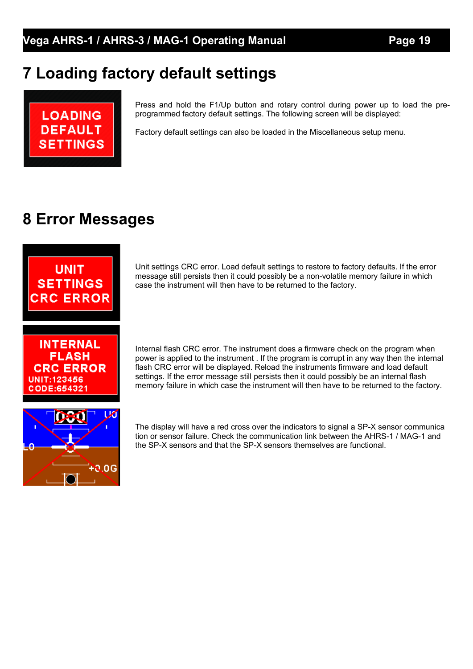# **7 Loading factory default settings**



Press and hold the F1/Up button and rotary control during power up to load the preprogrammed factory default settings. The following screen will be displayed:

Factory default settings can also be loaded in the Miscellaneous setup menu.

# **8 Error Messages**



**INTERNAL FLASH CRC ERROR** UNIT:123456 CODE:654321

Unit settings CRC error. Load default settings to restore to factory defaults. If the error message still persists then it could possibly be a non-volatile memory failure in which case the instrument will then have to be returned to the factory.

Internal flash CRC error. The instrument does a firmware check on the program when power is applied to the instrument . If the program is corrupt in any way then the internal flash CRC error will be displayed. Reload the instruments firmware and load default settings. If the error message still persists then it could possibly be an internal flash memory failure in which case the instrument will then have to be returned to the factory.



The display will have a red cross over the indicators to signal a SP-X sensor communica tion or sensor failure. Check the communication link between the AHRS-1 / MAG-1 and the SP-X sensors and that the SP-X sensors themselves are functional.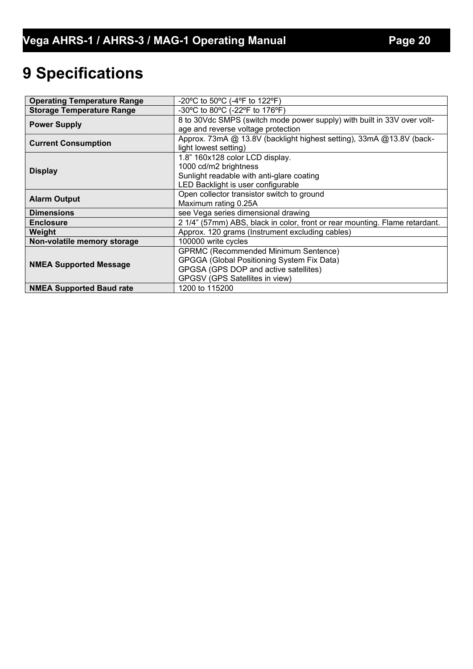# **9 Specifications**

| <b>Operating Temperature Range</b> | -20°C to 50°C (-4°F to 122°F)                                               |
|------------------------------------|-----------------------------------------------------------------------------|
| <b>Storage Temperature Range</b>   | -30°C to 80°C (-22°F to 176°F)                                              |
|                                    | 8 to 30Vdc SMPS (switch mode power supply) with built in 33V over volt-     |
| <b>Power Supply</b>                | age and reverse voltage protection                                          |
|                                    | Approx. 73mA @ 13.8V (backlight highest setting), 33mA @ 13.8V (back-       |
| <b>Current Consumption</b>         | light lowest setting)                                                       |
|                                    | 1.8" 160x128 color LCD display.                                             |
|                                    | 1000 cd/m2 brightness                                                       |
| <b>Display</b>                     | Sunlight readable with anti-glare coating                                   |
|                                    | LED Backlight is user configurable                                          |
| <b>Alarm Output</b>                | Open collector transistor switch to ground                                  |
|                                    | Maximum rating 0.25A                                                        |
| <b>Dimensions</b>                  | see Vega series dimensional drawing                                         |
| <b>Enclosure</b>                   | 2 1/4" (57mm) ABS, black in color, front or rear mounting. Flame retardant. |
| Weight                             | Approx. 120 grams (Instrument excluding cables)                             |
| Non-volatile memory storage        | 100000 write cycles                                                         |
|                                    | <b>GPRMC (Recommended Minimum Sentence)</b>                                 |
|                                    | <b>GPGGA (Global Positioning System Fix Data)</b>                           |
| <b>NMEA Supported Message</b>      | GPGSA (GPS DOP and active satellites)                                       |
|                                    | GPGSV (GPS Satellites in view)                                              |
| <b>NMEA Supported Baud rate</b>    | 1200 to 115200                                                              |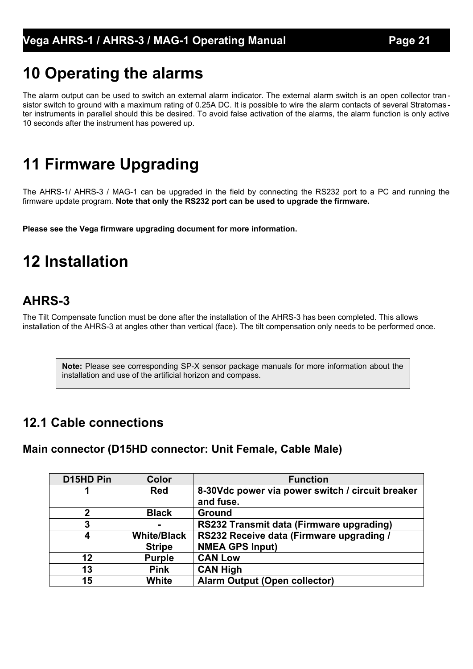# **10 Operating the alarms**

The alarm output can be used to switch an external alarm indicator. The external alarm switch is an open collector transistor switch to ground with a maximum rating of 0.25A DC. It is possible to wire the alarm contacts of several Stratomas ter instruments in parallel should this be desired. To avoid false activation of the alarms, the alarm function is only active 10 seconds after the instrument has powered up.

# **11 Firmware Upgrading**

The AHRS-1/ AHRS-3 / MAG-1 can be upgraded in the field by connecting the RS232 port to a PC and running the firmware update program. **Note that only the RS232 port can be used to upgrade the firmware.**

**Please see the Vega firmware upgrading document for more information.**

# **12 Installation**

# **AHRS-3**

The Tilt Compensate function must be done after the installation of the AHRS-3 has been completed. This allows installation of the AHRS-3 at angles other than vertical (face). The tilt compensation only needs to be performed once.

**Note:** Please see corresponding SP-X sensor package manuals for more information about the installation and use of the artificial horizon and compass.

### **12.1 Cable connections**

### **Main connector (D15HD connector: Unit Female, Cable Male)**

| D <sub>15</sub> HD Pin | Color              | <b>Function</b>                                  |
|------------------------|--------------------|--------------------------------------------------|
|                        | <b>Red</b>         | 8-30Vdc power via power switch / circuit breaker |
|                        |                    | and fuse.                                        |
| $\mathbf 2$            | <b>Black</b>       | <b>Ground</b>                                    |
| 3                      |                    | RS232 Transmit data (Firmware upgrading)         |
| 4                      | <b>White/Black</b> | RS232 Receive data (Firmware upgrading /         |
|                        | <b>Stripe</b>      | <b>NMEA GPS Input)</b>                           |
| 12                     | <b>Purple</b>      | <b>CAN Low</b>                                   |
| 13                     | <b>Pink</b>        | <b>CAN High</b>                                  |
| 15                     | <b>White</b>       | <b>Alarm Output (Open collector)</b>             |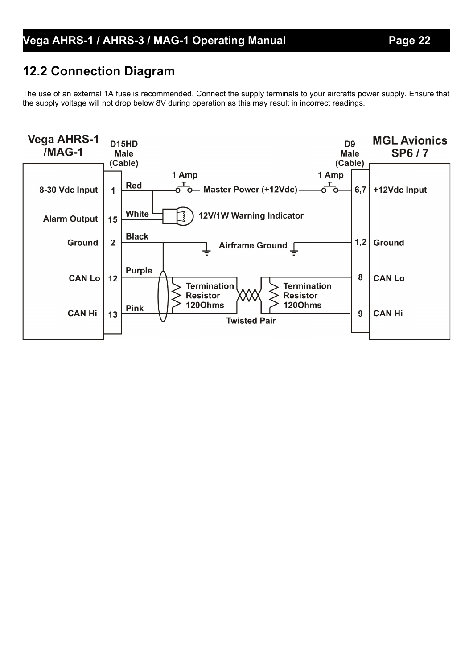## **12.2 Connection Diagram**

The use of an external 1A fuse is recommended. Connect the supply terminals to your aircrafts power supply. Ensure that the supply voltage will not drop below 8V during operation as this may result in incorrect readings.

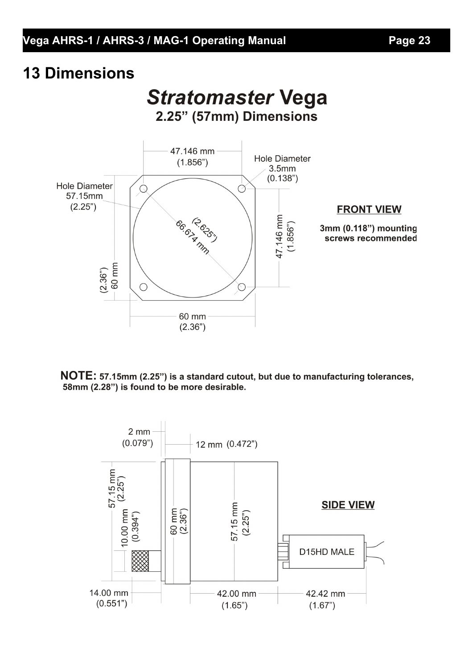# **13 Dimensions**

# **Stratomaster Vega** 2.25" (57mm) Dimensions



NOTE: 57.15mm (2.25") is a standard cutout, but due to manufacturing tolerances, 58mm (2.28") is found to be more desirable.

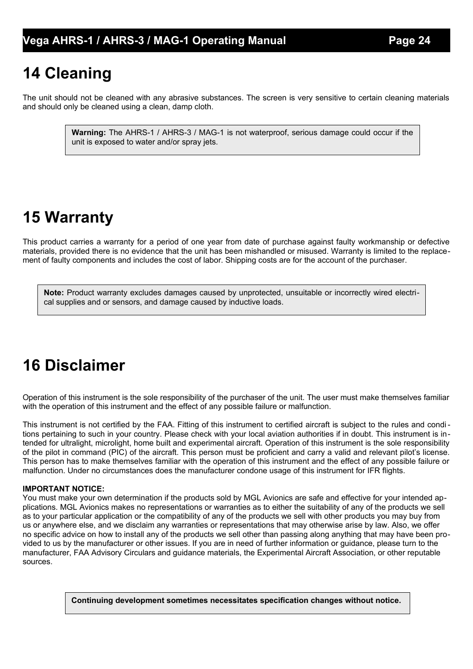# **14 Cleaning**

The unit should not be cleaned with any abrasive substances. The screen is very sensitive to certain cleaning materials and should only be cleaned using a clean, damp cloth.

> **Warning:** The AHRS-1 / AHRS-3 / MAG-1 is not waterproof, serious damage could occur if the unit is exposed to water and/or spray jets.

# **15 Warranty**

This product carries a warranty for a period of one year from date of purchase against faulty workmanship or defective materials, provided there is no evidence that the unit has been mishandled or misused. Warranty is limited to the replacement of faulty components and includes the cost of labor. Shipping costs are for the account of the purchaser.

**Note:** Product warranty excludes damages caused by unprotected, unsuitable or incorrectly wired electrical supplies and or sensors, and damage caused by inductive loads.

# **16 Disclaimer**

Operation of this instrument is the sole responsibility of the purchaser of the unit. The user must make themselves familiar with the operation of this instrument and the effect of any possible failure or malfunction.

This instrument is not certified by the FAA. Fitting of this instrument to certified aircraft is subject to the rules and condi tions pertaining to such in your country. Please check with your local aviation authorities if in doubt. This instrument is intended for ultralight, microlight, home built and experimental aircraft. Operation of this instrument is the sole responsibility of the pilot in command (PIC) of the aircraft. This person must be proficient and carry a valid and relevant pilot's license. This person has to make themselves familiar with the operation of this instrument and the effect of any possible failure or malfunction. Under no circumstances does the manufacturer condone usage of this instrument for IFR flights.

#### **IMPORTANT NOTICE:**

You must make your own determination if the products sold by MGL Avionics are safe and effective for your intended applications. MGL Avionics makes no representations or warranties as to either the suitability of any of the products we sell as to your particular application or the compatibility of any of the products we sell with other products you may buy from us or anywhere else, and we disclaim any warranties or representations that may otherwise arise by law. Also, we offer no specific advice on how to install any of the products we sell other than passing along anything that may have been provided to us by the manufacturer or other issues. If you are in need of further information or guidance, please turn to the manufacturer, FAA Advisory Circulars and guidance materials, the Experimental Aircraft Association, or other reputable sources.

**Continuing development sometimes necessitates specification changes without notice.**